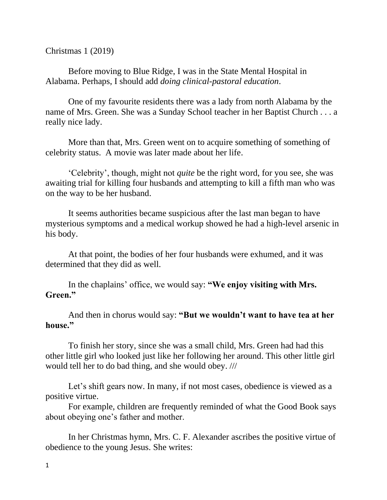Christmas 1 (2019)

Before moving to Blue Ridge, I was in the State Mental Hospital in Alabama. Perhaps, I should add *doing clinical-pastoral education*.

One of my favourite residents there was a lady from north Alabama by the name of Mrs. Green. She was a Sunday School teacher in her Baptist Church . . . a really nice lady.

More than that, Mrs. Green went on to acquire something of something of celebrity status. A movie was later made about her life.

'Celebrity', though, might not *quite* be the right word, for you see, she was awaiting trial for killing four husbands and attempting to kill a fifth man who was on the way to be her husband.

It seems authorities became suspicious after the last man began to have mysterious symptoms and a medical workup showed he had a high-level arsenic in his body.

At that point, the bodies of her four husbands were exhumed, and it was determined that they did as well.

In the chaplains' office, we would say: **"We enjoy visiting with Mrs. Green."**

And then in chorus would say: **"But we wouldn't want to have tea at her house."**

To finish her story, since she was a small child, Mrs. Green had had this other little girl who looked just like her following her around. This other little girl would tell her to do bad thing, and she would obey. ///

Let's shift gears now. In many, if not most cases, obedience is viewed as a positive virtue.

For example, children are frequently reminded of what the Good Book says about obeying one's father and mother.

In her Christmas hymn, Mrs. C. F. Alexander ascribes the positive virtue of obedience to the young Jesus. She writes: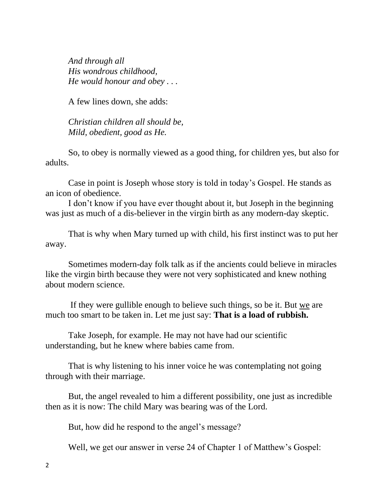*And through all His wondrous childhood, He would honour and obey . . .*

A few lines down, she adds:

*Christian children all should be, Mild, obedient, good as He.*

So, to obey is normally viewed as a good thing, for children yes, but also for adults.

Case in point is Joseph whose story is told in today's Gospel. He stands as an icon of obedience.

I don't know if you have ever thought about it, but Joseph in the beginning was just as much of a dis-believer in the virgin birth as any modern-day skeptic.

That is why when Mary turned up with child, his first instinct was to put her away.

Sometimes modern-day folk talk as if the ancients could believe in miracles like the virgin birth because they were not very sophisticated and knew nothing about modern science.

If they were gullible enough to believe such things, so be it. But we are much too smart to be taken in. Let me just say: **That is a load of rubbish.** 

Take Joseph, for example. He may not have had our scientific understanding, but he knew where babies came from.

That is why listening to his inner voice he was contemplating not going through with their marriage.

But, the angel revealed to him a different possibility, one just as incredible then as it is now: The child Mary was bearing was of the Lord.

But, how did he respond to the angel's message?

Well, we get our answer in verse 24 of Chapter 1 of Matthew's Gospel: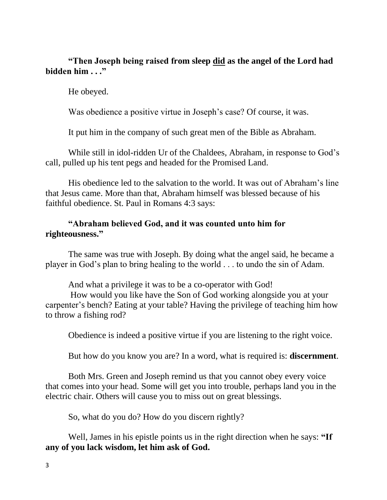## **"Then Joseph being raised from sleep did as the angel of the Lord had bidden him . . ."**

He obeyed.

Was obedience a positive virtue in Joseph's case? Of course, it was.

It put him in the company of such great men of the Bible as Abraham.

While still in idol-ridden Ur of the Chaldees, Abraham, in response to God's call, pulled up his tent pegs and headed for the Promised Land.

His obedience led to the salvation to the world. It was out of Abraham's line that Jesus came. More than that, Abraham himself was blessed because of his faithful obedience. St. Paul in Romans 4:3 says:

## **"Abraham believed God, and it was counted unto him for righteousness."**

The same was true with Joseph. By doing what the angel said, he became a player in God's plan to bring healing to the world . . . to undo the sin of Adam.

And what a privilege it was to be a co-operator with God!

How would you like have the Son of God working alongside you at your carpenter's bench? Eating at your table? Having the privilege of teaching him how to throw a fishing rod?

Obedience is indeed a positive virtue if you are listening to the right voice.

But how do you know you are? In a word, what is required is: **discernment**.

Both Mrs. Green and Joseph remind us that you cannot obey every voice that comes into your head. Some will get you into trouble, perhaps land you in the electric chair. Others will cause you to miss out on great blessings.

So, what do you do? How do you discern rightly?

Well, James in his epistle points us in the right direction when he says: **"If any of you lack wisdom, let him ask of God.**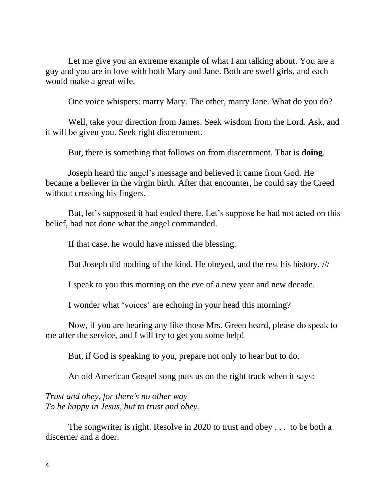Let me give you an extreme example of what I am talking about. You are a guy and you are in love with both Mary and Jane. Both are swell girls, and each would make a great wife.

One voice whispers: marry Mary. The other, marry Jane. What do you do?

Well, take your direction from James. Seek wisdom from the Lord. Ask, and it will be given you. Seek right discernment.

But, there is something that follows on from discernment. That is **doing**.

Joseph heard the angel's message and believed it came from God. He became a believer in the virgin birth. After that encounter, he could say the Creed without crossing his fingers.

But, let's supposed it had ended there. Let's suppose he had not acted on this belief, had not done what the angel commanded.

If that case, he would have missed the blessing.

But Joseph did nothing of the kind. He obeyed, and the rest his history. ///

I speak to you this morning on the eve of a new year and new decade.

I wonder what 'voices' are echoing in your head this morning?

Now, if you are hearing any like those Mrs. Green heard, please do speak to me after the service, and I will try to get you some help!

But, if God is speaking to you, prepare not only to hear but to do.

An old American Gospel song puts us on the right track when it says:

*Trust and obey, for there's no other way To be happy in Jesus, but to trust and obey.*

The songwriter is right. Resolve in 2020 to trust and obey . . . to be both a discerner and a doer.